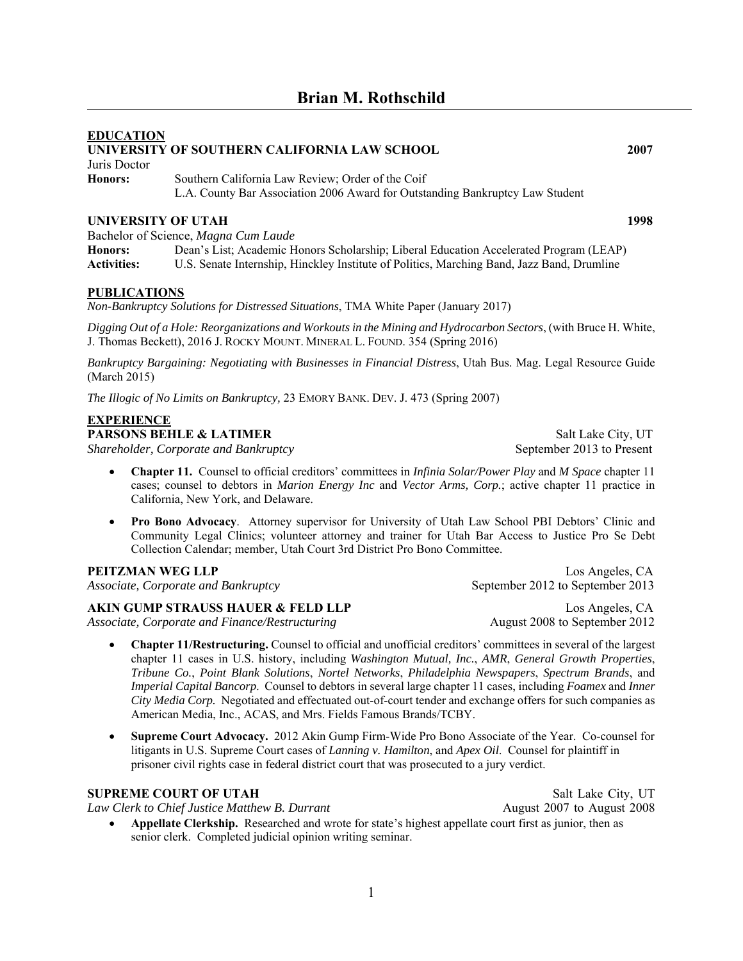# **EDUCATION UNIVERSITY OF SOUTHERN CALIFORNIA LAW SCHOOL 2007** Juris Doctor **Honors:** Southern California Law Review; Order of the Coif L.A. County Bar Association 2006 Award for Outstanding Bankruptcy Law Student **UNIVERSITY OF UTAH 1998** Bachelor of Science, *Magna Cum Laude*

**Honors:** Dean's List; Academic Honors Scholarship; Liberal Education Accelerated Program (LEAP) **Activities:** U.S. Senate Internship, Hinckley Institute of Politics, Marching Band, Jazz Band, Drumline

#### **PUBLICATIONS**

*Non-Bankruptcy Solutions for Distressed Situations*, TMA White Paper (January 2017)

*Digging Out of a Hole: Reorganizations and Workouts in the Mining and Hydrocarbon Sectors*, (with Bruce H. White, J. Thomas Beckett), 2016 J. ROCKY MOUNT. MINERAL L. FOUND. 354 (Spring 2016)

*Bankruptcy Bargaining: Negotiating with Businesses in Financial Distress*, Utah Bus. Mag. Legal Resource Guide (March 2015)

*The Illogic of No Limits on Bankruptcy,* 23 EMORY BANK. DEV. J. 473 (Spring 2007)

### **EXPERIENCE**

**PARSONS BEHLE & LATIMER** Salt Lake City, UT

*Shareholder, Corporate and Bankruptcy* September 2013 to Present

- **Chapter 11.** Counsel to official creditors' committees in *Infinia Solar/Power Play* and *M Space* chapter 11 cases; counsel to debtors in *Marion Energy Inc* and *Vector Arms, Corp.*; active chapter 11 practice in California, New York, and Delaware.
- **Pro Bono Advocacy**. Attorney supervisor for University of Utah Law School PBI Debtors' Clinic and Community Legal Clinics; volunteer attorney and trainer for Utah Bar Access to Justice Pro Se Debt Collection Calendar; member, Utah Court 3rd District Pro Bono Committee.

#### **PEITZMAN WEG LLP** Los Angeles, CA

*Associate, Corporate and Bankruptcy* September 2012 to September 2013

#### **AKIN GUMP STRAUSS HAUER & FELD LLP** Los Angeles, CA

*Associate, Corporate and Finance/Restructuring* August 2008 to September 2012

- **Chapter 11/Restructuring.** Counsel to official and unofficial creditors' committees in several of the largest chapter 11 cases in U.S. history, including *Washington Mutual, Inc.*, *AMR*, *General Growth Properties*, *Tribune Co.*, *Point Blank Solutions*, *Nortel Networks*, *Philadelphia Newspapers*, *Spectrum Brands*, and *Imperial Capital Bancorp*. Counsel to debtors in several large chapter 11 cases, including *Foamex* and *Inner City Media Corp.* Negotiated and effectuated out-of-court tender and exchange offers for such companies as American Media, Inc., ACAS, and Mrs. Fields Famous Brands/TCBY.
- **Supreme Court Advocacy.** 2012 Akin Gump Firm-Wide Pro Bono Associate of the Year. Co-counsel for litigants in U.S. Supreme Court cases of *Lanning v. Hamilton*, and *Apex Oil*. Counsel for plaintiff in prisoner civil rights case in federal district court that was prosecuted to a jury verdict.

#### **SUPREME COURT OF UTAH** Salt Lake City, UT

*Law Clerk to Chief Justice Matthew B. Durrant* August 2007 **August 2007** to August 2008

 **Appellate Clerkship.** Researched and wrote for state's highest appellate court first as junior, then as senior clerk. Completed judicial opinion writing seminar.

1